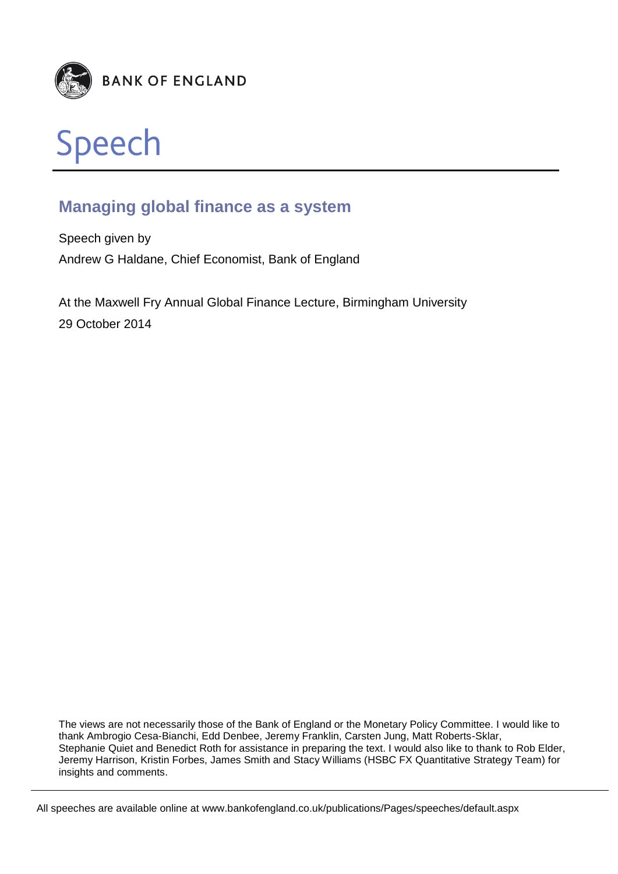



# **Managing global finance as a system**

Speech given by Andrew G Haldane, Chief Economist, Bank of England

At the Maxwell Fry Annual Global Finance Lecture, Birmingham University 29 October 2014

The views are not necessarily those of the Bank of England or the Monetary Policy Committee. I would like to thank Ambrogio Cesa-Bianchi, Edd Denbee, Jeremy Franklin, Carsten Jung, Matt Roberts-Sklar, Stephanie Quiet and Benedict Roth for assistance in preparing the text. I would also like to thank to Rob Elder, Jeremy Harrison, Kristin Forbes, James Smith and Stacy Williams (HSBC FX Quantitative Strategy Team) for insights and comments.

All speeches are available online at www.bankofengland.co.uk/publications/Pages/speeches/default.aspx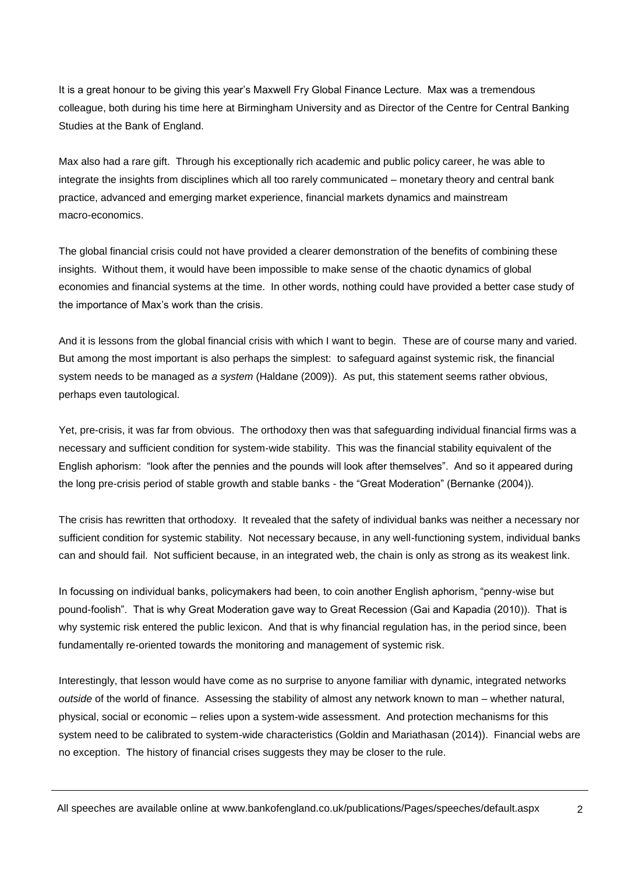It is a great honour to be giving this year's Maxwell Fry Global Finance Lecture. Max was a tremendous colleague, both during his time here at Birmingham University and as Director of the Centre for Central Banking Studies at the Bank of England.

Max also had a rare gift. Through his exceptionally rich academic and public policy career, he was able to integrate the insights from disciplines which all too rarely communicated – monetary theory and central bank practice, advanced and emerging market experience, financial markets dynamics and mainstream macro-economics.

The global financial crisis could not have provided a clearer demonstration of the benefits of combining these insights. Without them, it would have been impossible to make sense of the chaotic dynamics of global economies and financial systems at the time. In other words, nothing could have provided a better case study of the importance of Max's work than the crisis.

And it is lessons from the global financial crisis with which I want to begin. These are of course many and varied. But among the most important is also perhaps the simplest: to safeguard against systemic risk, the financial system needs to be managed as *a system* (Haldane (2009)). As put, this statement seems rather obvious, perhaps even tautological.

Yet, pre-crisis, it was far from obvious. The orthodoxy then was that safeguarding individual financial firms was a necessary and sufficient condition for system-wide stability. This was the financial stability equivalent of the English aphorism: "look after the pennies and the pounds will look after themselves". And so it appeared during the long pre-crisis period of stable growth and stable banks - the "Great Moderation" (Bernanke (2004)).

The crisis has rewritten that orthodoxy. It revealed that the safety of individual banks was neither a necessary nor sufficient condition for systemic stability. Not necessary because, in any well-functioning system, individual banks can and should fail. Not sufficient because, in an integrated web, the chain is only as strong as its weakest link.

In focussing on individual banks, policymakers had been, to coin another English aphorism, "penny-wise but pound-foolish". That is why Great Moderation gave way to Great Recession (Gai and Kapadia (2010)). That is why systemic risk entered the public lexicon. And that is why financial regulation has, in the period since, been fundamentally re-oriented towards the monitoring and management of systemic risk.

Interestingly, that lesson would have come as no surprise to anyone familiar with dynamic, integrated networks *outside* of the world of finance. Assessing the stability of almost any network known to man – whether natural, physical, social or economic – relies upon a system-wide assessment. And protection mechanisms for this system need to be calibrated to system-wide characteristics (Goldin and Mariathasan (2014)). Financial webs are no exception. The history of financial crises suggests they may be closer to the rule.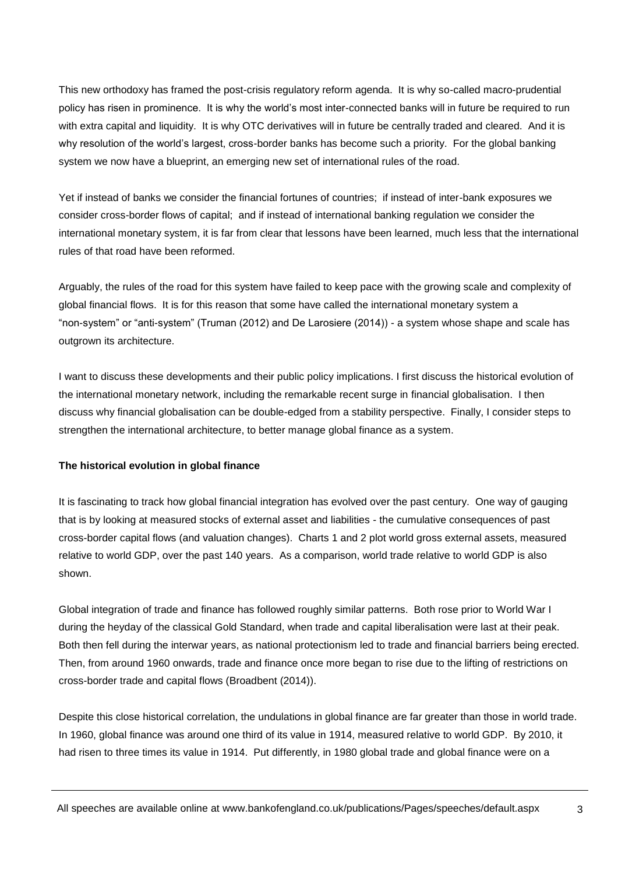This new orthodoxy has framed the post-crisis regulatory reform agenda. It is why so-called macro-prudential policy has risen in prominence. It is why the world's most inter-connected banks will in future be required to run with extra capital and liquidity. It is why OTC derivatives will in future be centrally traded and cleared. And it is why resolution of the world's largest, cross-border banks has become such a priority. For the global banking system we now have a blueprint, an emerging new set of international rules of the road.

Yet if instead of banks we consider the financial fortunes of countries; if instead of inter-bank exposures we consider cross-border flows of capital; and if instead of international banking regulation we consider the international monetary system, it is far from clear that lessons have been learned, much less that the international rules of that road have been reformed.

Arguably, the rules of the road for this system have failed to keep pace with the growing scale and complexity of global financial flows. It is for this reason that some have called the international monetary system a "non-system" or "anti-system" (Truman (2012) and De Larosiere (2014)) - a system whose shape and scale has outgrown its architecture.

I want to discuss these developments and their public policy implications. I first discuss the historical evolution of the international monetary network, including the remarkable recent surge in financial globalisation. I then discuss why financial globalisation can be double-edged from a stability perspective. Finally, I consider steps to strengthen the international architecture, to better manage global finance as a system.

#### **The historical evolution in global finance**

It is fascinating to track how global financial integration has evolved over the past century. One way of gauging that is by looking at measured stocks of external asset and liabilities - the cumulative consequences of past cross-border capital flows (and valuation changes). Charts 1 and 2 plot world gross external assets, measured relative to world GDP, over the past 140 years. As a comparison, world trade relative to world GDP is also shown.

Global integration of trade and finance has followed roughly similar patterns. Both rose prior to World War I during the heyday of the classical Gold Standard, when trade and capital liberalisation were last at their peak. Both then fell during the interwar years, as national protectionism led to trade and financial barriers being erected. Then, from around 1960 onwards, trade and finance once more began to rise due to the lifting of restrictions on cross-border trade and capital flows (Broadbent (2014)).

Despite this close historical correlation, the undulations in global finance are far greater than those in world trade. In 1960, global finance was around one third of its value in 1914, measured relative to world GDP. By 2010, it had risen to three times its value in 1914. Put differently, in 1980 global trade and global finance were on a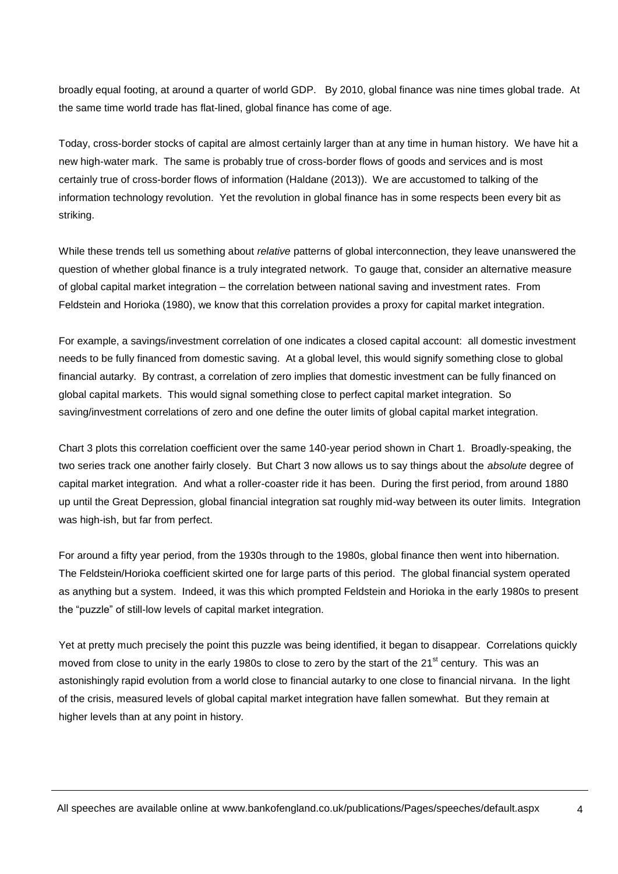broadly equal footing, at around a quarter of world GDP. By 2010, global finance was nine times global trade. At the same time world trade has flat-lined, global finance has come of age.

Today, cross-border stocks of capital are almost certainly larger than at any time in human history. We have hit a new high-water mark. The same is probably true of cross-border flows of goods and services and is most certainly true of cross-border flows of information (Haldane (2013)). We are accustomed to talking of the information technology revolution. Yet the revolution in global finance has in some respects been every bit as striking.

While these trends tell us something about *relative* patterns of global interconnection, they leave unanswered the question of whether global finance is a truly integrated network. To gauge that, consider an alternative measure of global capital market integration – the correlation between national saving and investment rates. From Feldstein and Horioka (1980), we know that this correlation provides a proxy for capital market integration.

For example, a savings/investment correlation of one indicates a closed capital account: all domestic investment needs to be fully financed from domestic saving. At a global level, this would signify something close to global financial autarky. By contrast, a correlation of zero implies that domestic investment can be fully financed on global capital markets. This would signal something close to perfect capital market integration. So saving/investment correlations of zero and one define the outer limits of global capital market integration.

Chart 3 plots this correlation coefficient over the same 140-year period shown in Chart 1. Broadly-speaking, the two series track one another fairly closely. But Chart 3 now allows us to say things about the *absolute* degree of capital market integration. And what a roller-coaster ride it has been. During the first period, from around 1880 up until the Great Depression, global financial integration sat roughly mid-way between its outer limits. Integration was high-ish, but far from perfect.

For around a fifty year period, from the 1930s through to the 1980s, global finance then went into hibernation. The Feldstein/Horioka coefficient skirted one for large parts of this period. The global financial system operated as anything but a system. Indeed, it was this which prompted Feldstein and Horioka in the early 1980s to present the "puzzle" of still-low levels of capital market integration.

Yet at pretty much precisely the point this puzzle was being identified, it began to disappear. Correlations quickly moved from close to unity in the early 1980s to close to zero by the start of the 21<sup>st</sup> century. This was an astonishingly rapid evolution from a world close to financial autarky to one close to financial nirvana. In the light of the crisis, measured levels of global capital market integration have fallen somewhat. But they remain at higher levels than at any point in history.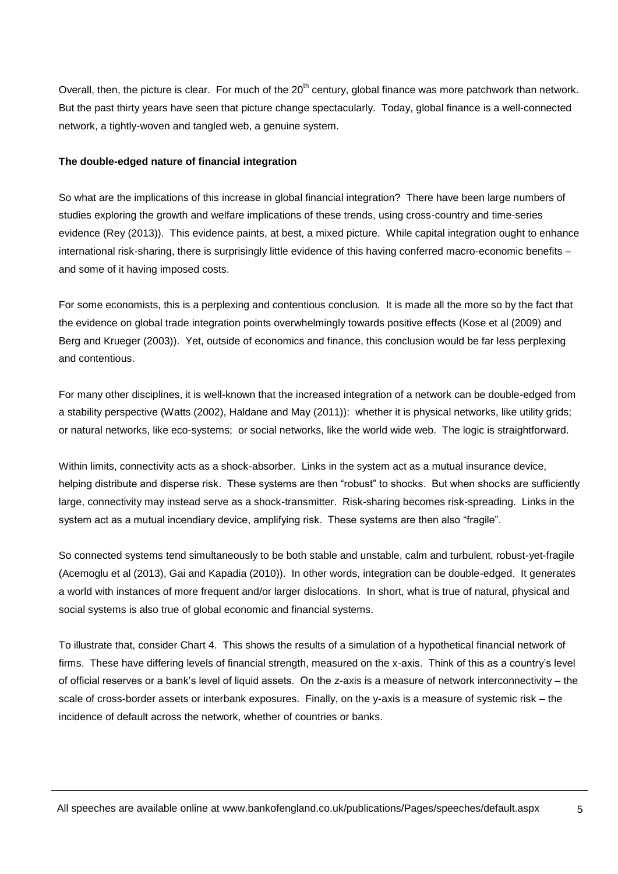Overall, then, the picture is clear. For much of the 20<sup>th</sup> century, global finance was more patchwork than network. But the past thirty years have seen that picture change spectacularly. Today, global finance is a well-connected network, a tightly-woven and tangled web, a genuine system.

#### **The double-edged nature of financial integration**

So what are the implications of this increase in global financial integration? There have been large numbers of studies exploring the growth and welfare implications of these trends, using cross-country and time-series evidence (Rey (2013)). This evidence paints, at best, a mixed picture. While capital integration ought to enhance international risk-sharing, there is surprisingly little evidence of this having conferred macro-economic benefits – and some of it having imposed costs.

For some economists, this is a perplexing and contentious conclusion. It is made all the more so by the fact that the evidence on global trade integration points overwhelmingly towards positive effects (Kose et al (2009) and Berg and Krueger (2003)). Yet, outside of economics and finance, this conclusion would be far less perplexing and contentious.

For many other disciplines, it is well-known that the increased integration of a network can be double-edged from a stability perspective (Watts (2002), Haldane and May (2011)): whether it is physical networks, like utility grids; or natural networks, like eco-systems; or social networks, like the world wide web. The logic is straightforward.

Within limits, connectivity acts as a shock-absorber. Links in the system act as a mutual insurance device, helping distribute and disperse risk. These systems are then "robust" to shocks. But when shocks are sufficiently large, connectivity may instead serve as a shock-transmitter. Risk-sharing becomes risk-spreading. Links in the system act as a mutual incendiary device, amplifying risk. These systems are then also "fragile".

So connected systems tend simultaneously to be both stable and unstable, calm and turbulent, robust-yet-fragile (Acemoglu et al (2013), Gai and Kapadia (2010)). In other words, integration can be double-edged. It generates a world with instances of more frequent and/or larger dislocations. In short, what is true of natural, physical and social systems is also true of global economic and financial systems.

To illustrate that, consider Chart 4. This shows the results of a simulation of a hypothetical financial network of firms. These have differing levels of financial strength, measured on the x-axis. Think of this as a country's level of official reserves or a bank's level of liquid assets. On the z-axis is a measure of network interconnectivity – the scale of cross-border assets or interbank exposures. Finally, on the y-axis is a measure of systemic risk – the incidence of default across the network, whether of countries or banks.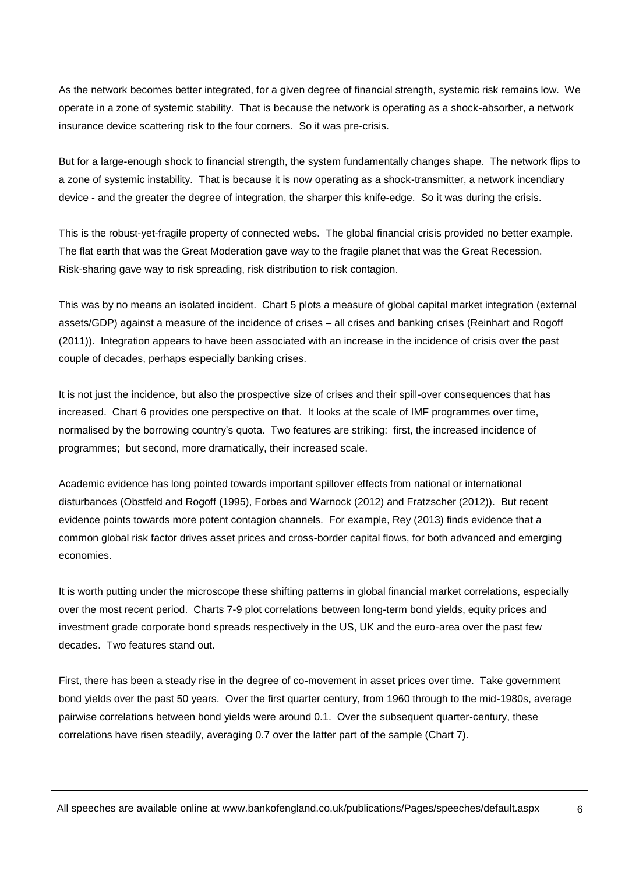As the network becomes better integrated, for a given degree of financial strength, systemic risk remains low. We operate in a zone of systemic stability. That is because the network is operating as a shock-absorber, a network insurance device scattering risk to the four corners. So it was pre-crisis.

But for a large-enough shock to financial strength, the system fundamentally changes shape. The network flips to a zone of systemic instability. That is because it is now operating as a shock-transmitter, a network incendiary device - and the greater the degree of integration, the sharper this knife-edge. So it was during the crisis.

This is the robust-yet-fragile property of connected webs. The global financial crisis provided no better example. The flat earth that was the Great Moderation gave way to the fragile planet that was the Great Recession. Risk-sharing gave way to risk spreading, risk distribution to risk contagion.

This was by no means an isolated incident. Chart 5 plots a measure of global capital market integration (external assets/GDP) against a measure of the incidence of crises – all crises and banking crises (Reinhart and Rogoff (2011)). Integration appears to have been associated with an increase in the incidence of crisis over the past couple of decades, perhaps especially banking crises.

It is not just the incidence, but also the prospective size of crises and their spill-over consequences that has increased. Chart 6 provides one perspective on that. It looks at the scale of IMF programmes over time, normalised by the borrowing country's quota. Two features are striking: first, the increased incidence of programmes; but second, more dramatically, their increased scale.

Academic evidence has long pointed towards important spillover effects from national or international disturbances (Obstfeld and Rogoff (1995), Forbes and Warnock (2012) and Fratzscher (2012)). But recent evidence points towards more potent contagion channels. For example, Rey (2013) finds evidence that a common global risk factor drives asset prices and cross-border capital flows, for both advanced and emerging economies.

It is worth putting under the microscope these shifting patterns in global financial market correlations, especially over the most recent period. Charts 7-9 plot correlations between long-term bond yields, equity prices and investment grade corporate bond spreads respectively in the US, UK and the euro-area over the past few decades. Two features stand out.

First, there has been a steady rise in the degree of co-movement in asset prices over time. Take government bond yields over the past 50 years. Over the first quarter century, from 1960 through to the mid-1980s, average pairwise correlations between bond yields were around 0.1. Over the subsequent quarter-century, these correlations have risen steadily, averaging 0.7 over the latter part of the sample (Chart 7).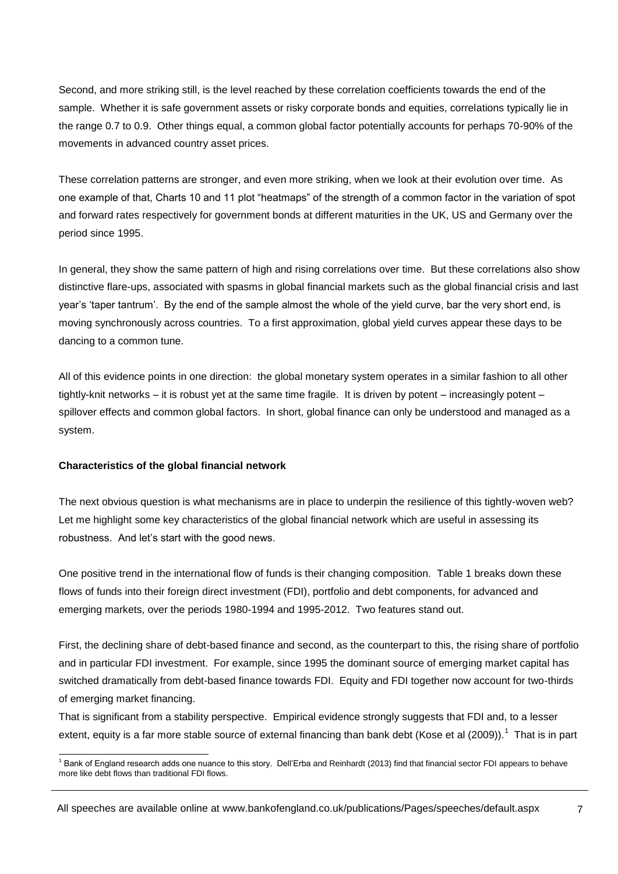Second, and more striking still, is the level reached by these correlation coefficients towards the end of the sample. Whether it is safe government assets or risky corporate bonds and equities, correlations typically lie in the range 0.7 to 0.9. Other things equal, a common global factor potentially accounts for perhaps 70-90% of the movements in advanced country asset prices.

These correlation patterns are stronger, and even more striking, when we look at their evolution over time. As one example of that, Charts 10 and 11 plot "heatmaps" of the strength of a common factor in the variation of spot and forward rates respectively for government bonds at different maturities in the UK, US and Germany over the period since 1995.

In general, they show the same pattern of high and rising correlations over time. But these correlations also show distinctive flare-ups, associated with spasms in global financial markets such as the global financial crisis and last year's 'taper tantrum'. By the end of the sample almost the whole of the yield curve, bar the very short end, is moving synchronously across countries. To a first approximation, global yield curves appear these days to be dancing to a common tune.

All of this evidence points in one direction: the global monetary system operates in a similar fashion to all other tightly-knit networks – it is robust yet at the same time fragile. It is driven by potent – increasingly potent – spillover effects and common global factors. In short, global finance can only be understood and managed as a system.

#### **Characteristics of the global financial network**

The next obvious question is what mechanisms are in place to underpin the resilience of this tightly-woven web? Let me highlight some key characteristics of the global financial network which are useful in assessing its robustness. And let's start with the good news.

One positive trend in the international flow of funds is their changing composition. Table 1 breaks down these flows of funds into their foreign direct investment (FDI), portfolio and debt components, for advanced and emerging markets, over the periods 1980-1994 and 1995-2012. Two features stand out.

First, the declining share of debt-based finance and second, as the counterpart to this, the rising share of portfolio and in particular FDI investment. For example, since 1995 the dominant source of emerging market capital has switched dramatically from debt-based finance towards FDI. Equity and FDI together now account for two-thirds of emerging market financing.

That is significant from a stability perspective. Empirical evidence strongly suggests that FDI and, to a lesser extent, equity is a far more stable source of external financing than bank debt (Kose et al (2009)).<sup>1</sup> That is in part

<sup>1</sup>  $^1$  Bank of England research adds one nuance to this story. Dell'Erba and Reinhardt (2013) find that financial sector FDI appears to behave more like debt flows than traditional FDI flows.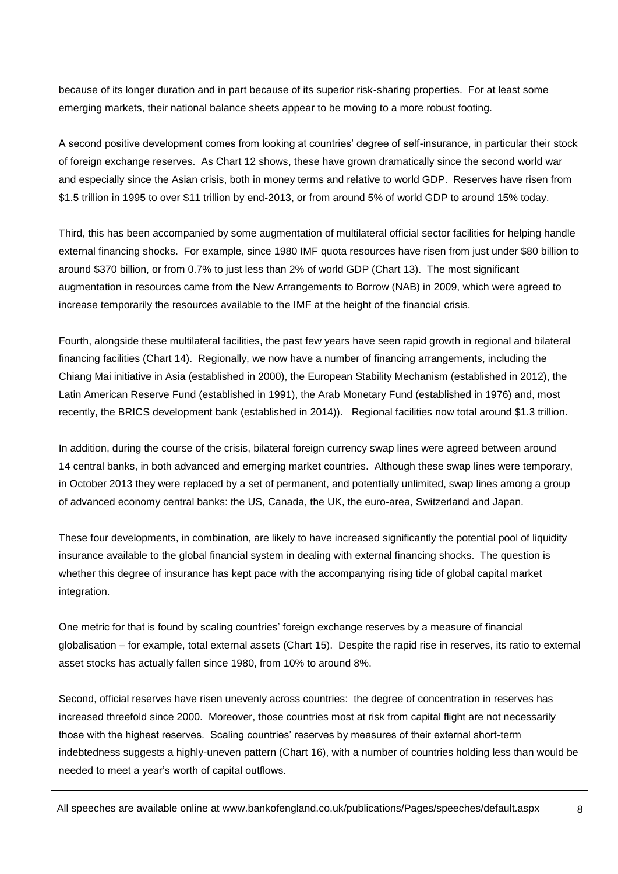because of its longer duration and in part because of its superior risk-sharing properties. For at least some emerging markets, their national balance sheets appear to be moving to a more robust footing.

A second positive development comes from looking at countries' degree of self-insurance, in particular their stock of foreign exchange reserves. As Chart 12 shows, these have grown dramatically since the second world war and especially since the Asian crisis, both in money terms and relative to world GDP. Reserves have risen from \$1.5 trillion in 1995 to over \$11 trillion by end-2013, or from around 5% of world GDP to around 15% today.

Third, this has been accompanied by some augmentation of multilateral official sector facilities for helping handle external financing shocks. For example, since 1980 IMF quota resources have risen from just under \$80 billion to around \$370 billion, or from 0.7% to just less than 2% of world GDP (Chart 13). The most significant augmentation in resources came from the New Arrangements to Borrow (NAB) in 2009, which were agreed to increase temporarily the resources available to the IMF at the height of the financial crisis.

Fourth, alongside these multilateral facilities, the past few years have seen rapid growth in regional and bilateral financing facilities (Chart 14). Regionally, we now have a number of financing arrangements, including the Chiang Mai initiative in Asia (established in 2000), the European Stability Mechanism (established in 2012), the Latin American Reserve Fund (established in 1991), the Arab Monetary Fund (established in 1976) and, most recently, the BRICS development bank (established in 2014)). Regional facilities now total around \$1.3 trillion.

In addition, during the course of the crisis, bilateral foreign currency swap lines were agreed between around 14 central banks, in both advanced and emerging market countries. Although these swap lines were temporary, in October 2013 they were replaced by a set of permanent, and potentially unlimited, swap lines among a group of advanced economy central banks: the US, Canada, the UK, the euro-area, Switzerland and Japan.

These four developments, in combination, are likely to have increased significantly the potential pool of liquidity insurance available to the global financial system in dealing with external financing shocks. The question is whether this degree of insurance has kept pace with the accompanying rising tide of global capital market integration.

One metric for that is found by scaling countries' foreign exchange reserves by a measure of financial globalisation – for example, total external assets (Chart 15). Despite the rapid rise in reserves, its ratio to external asset stocks has actually fallen since 1980, from 10% to around 8%.

Second, official reserves have risen unevenly across countries: the degree of concentration in reserves has increased threefold since 2000. Moreover, those countries most at risk from capital flight are not necessarily those with the highest reserves. Scaling countries' reserves by measures of their external short-term indebtedness suggests a highly-uneven pattern (Chart 16), with a number of countries holding less than would be needed to meet a year's worth of capital outflows.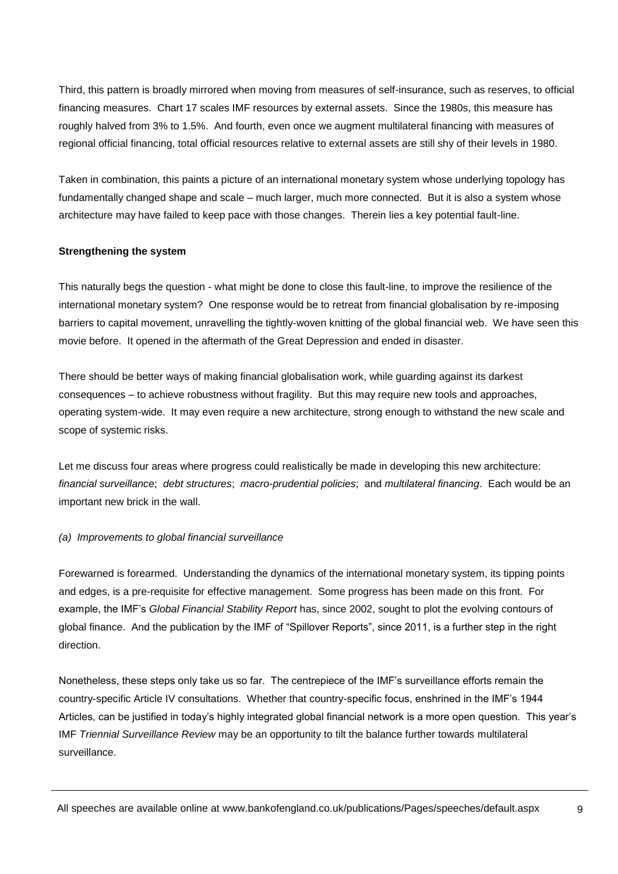Third, this pattern is broadly mirrored when moving from measures of self-insurance, such as reserves, to official financing measures. Chart 17 scales IMF resources by external assets. Since the 1980s, this measure has roughly halved from 3% to 1.5%. And fourth, even once we augment multilateral financing with measures of regional official financing, total official resources relative to external assets are still shy of their levels in 1980.

Taken in combination, this paints a picture of an international monetary system whose underlying topology has fundamentally changed shape and scale – much larger, much more connected. But it is also a system whose architecture may have failed to keep pace with those changes. Therein lies a key potential fault-line.

#### **Strengthening the system**

This naturally begs the question - what might be done to close this fault-line, to improve the resilience of the international monetary system? One response would be to retreat from financial globalisation by re-imposing barriers to capital movement, unravelling the tightly-woven knitting of the global financial web. We have seen this movie before. It opened in the aftermath of the Great Depression and ended in disaster.

There should be better ways of making financial globalisation work, while guarding against its darkest consequences – to achieve robustness without fragility. But this may require new tools and approaches, operating system-wide. It may even require a new architecture, strong enough to withstand the new scale and scope of systemic risks.

Let me discuss four areas where progress could realistically be made in developing this new architecture: *financial surveillance*; *debt structures*; *macro-prudential policies*; and *multilateral financing*. Each would be an important new brick in the wall.

#### *(a) Improvements to global financial surveillance*

Forewarned is forearmed. Understanding the dynamics of the international monetary system, its tipping points and edges, is a pre-requisite for effective management. Some progress has been made on this front. For example, the IMF's *Global Financial Stability Report* has, since 2002, sought to plot the evolving contours of global finance. And the publication by the IMF of "Spillover Reports", since 2011, is a further step in the right direction.

Nonetheless, these steps only take us so far. The centrepiece of the IMF's surveillance efforts remain the country-specific Article IV consultations. Whether that country-specific focus, enshrined in the IMF's 1944 Articles, can be justified in today's highly integrated global financial network is a more open question. This year's IMF *Triennial Surveillance Review* may be an opportunity to tilt the balance further towards multilateral surveillance.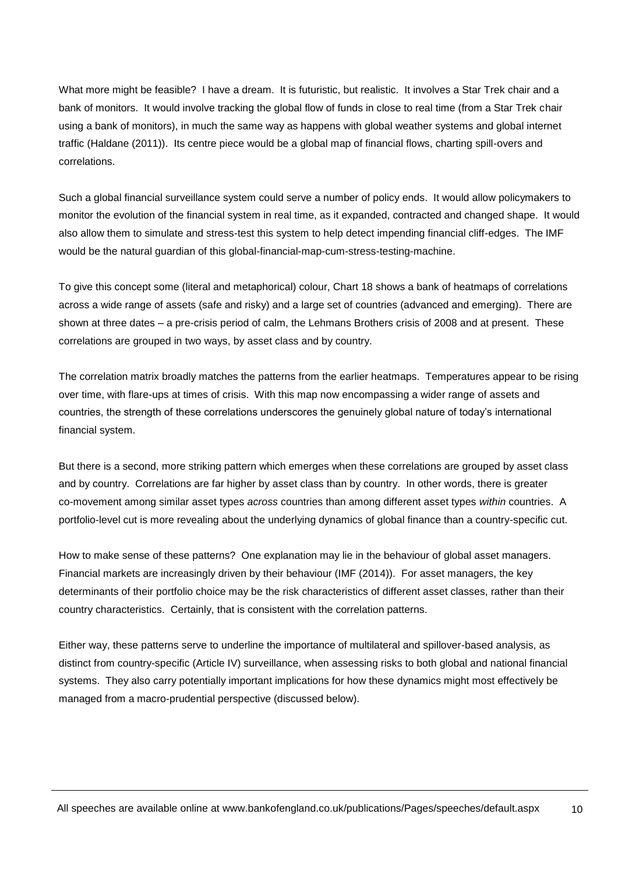What more might be feasible? I have a dream. It is futuristic, but realistic. It involves a Star Trek chair and a bank of monitors. It would involve tracking the global flow of funds in close to real time (from a Star Trek chair using a bank of monitors), in much the same way as happens with global weather systems and global internet traffic (Haldane (2011)). Its centre piece would be a global map of financial flows, charting spill-overs and correlations.

Such a global financial surveillance system could serve a number of policy ends. It would allow policymakers to monitor the evolution of the financial system in real time, as it expanded, contracted and changed shape. It would also allow them to simulate and stress-test this system to help detect impending financial cliff-edges. The IMF would be the natural guardian of this global-financial-map-cum-stress-testing-machine.

To give this concept some (literal and metaphorical) colour, Chart 18 shows a bank of heatmaps of correlations across a wide range of assets (safe and risky) and a large set of countries (advanced and emerging). There are shown at three dates – a pre-crisis period of calm, the Lehmans Brothers crisis of 2008 and at present. These correlations are grouped in two ways, by asset class and by country.

The correlation matrix broadly matches the patterns from the earlier heatmaps. Temperatures appear to be rising over time, with flare-ups at times of crisis. With this map now encompassing a wider range of assets and countries, the strength of these correlations underscores the genuinely global nature of today's international financial system.

But there is a second, more striking pattern which emerges when these correlations are grouped by asset class and by country. Correlations are far higher by asset class than by country. In other words, there is greater co-movement among similar asset types *across* countries than among different asset types *within* countries. A portfolio-level cut is more revealing about the underlying dynamics of global finance than a country-specific cut.

How to make sense of these patterns? One explanation may lie in the behaviour of global asset managers. Financial markets are increasingly driven by their behaviour (IMF (2014)). For asset managers, the key determinants of their portfolio choice may be the risk characteristics of different asset classes, rather than their country characteristics. Certainly, that is consistent with the correlation patterns.

Either way, these patterns serve to underline the importance of multilateral and spillover-based analysis, as distinct from country-specific (Article IV) surveillance, when assessing risks to both global and national financial systems. They also carry potentially important implications for how these dynamics might most effectively be managed from a macro-prudential perspective (discussed below).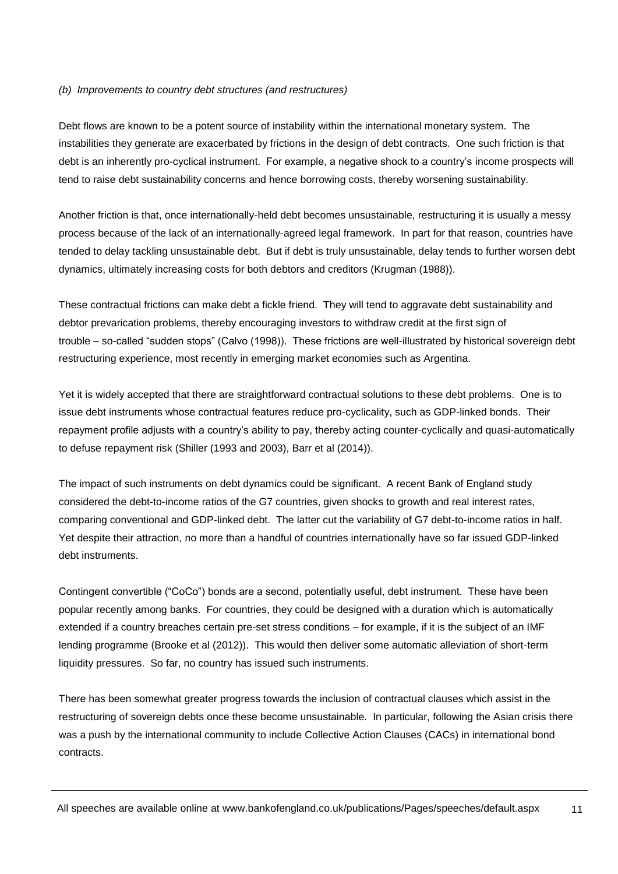#### *(b) Improvements to country debt structures (and restructures)*

Debt flows are known to be a potent source of instability within the international monetary system. The instabilities they generate are exacerbated by frictions in the design of debt contracts. One such friction is that debt is an inherently pro-cyclical instrument. For example, a negative shock to a country's income prospects will tend to raise debt sustainability concerns and hence borrowing costs, thereby worsening sustainability.

Another friction is that, once internationally-held debt becomes unsustainable, restructuring it is usually a messy process because of the lack of an internationally-agreed legal framework. In part for that reason, countries have tended to delay tackling unsustainable debt. But if debt is truly unsustainable, delay tends to further worsen debt dynamics, ultimately increasing costs for both debtors and creditors (Krugman (1988)).

These contractual frictions can make debt a fickle friend. They will tend to aggravate debt sustainability and debtor prevarication problems, thereby encouraging investors to withdraw credit at the first sign of trouble – so-called "sudden stops" (Calvo (1998)). These frictions are well-illustrated by historical sovereign debt restructuring experience, most recently in emerging market economies such as Argentina.

Yet it is widely accepted that there are straightforward contractual solutions to these debt problems. One is to issue debt instruments whose contractual features reduce pro-cyclicality, such as GDP-linked bonds. Their repayment profile adjusts with a country's ability to pay, thereby acting counter-cyclically and quasi-automatically to defuse repayment risk (Shiller (1993 and 2003), Barr et al (2014)).

The impact of such instruments on debt dynamics could be significant. A recent Bank of England study considered the debt-to-income ratios of the G7 countries, given shocks to growth and real interest rates, comparing conventional and GDP-linked debt. The latter cut the variability of G7 debt-to-income ratios in half. Yet despite their attraction, no more than a handful of countries internationally have so far issued GDP-linked debt instruments.

Contingent convertible ("CoCo") bonds are a second, potentially useful, debt instrument. These have been popular recently among banks. For countries, they could be designed with a duration which is automatically extended if a country breaches certain pre-set stress conditions – for example, if it is the subject of an IMF lending programme (Brooke et al (2012)). This would then deliver some automatic alleviation of short-term liquidity pressures. So far, no country has issued such instruments.

There has been somewhat greater progress towards the inclusion of contractual clauses which assist in the restructuring of sovereign debts once these become unsustainable. In particular, following the Asian crisis there was a push by the international community to include Collective Action Clauses (CACs) in international bond contracts.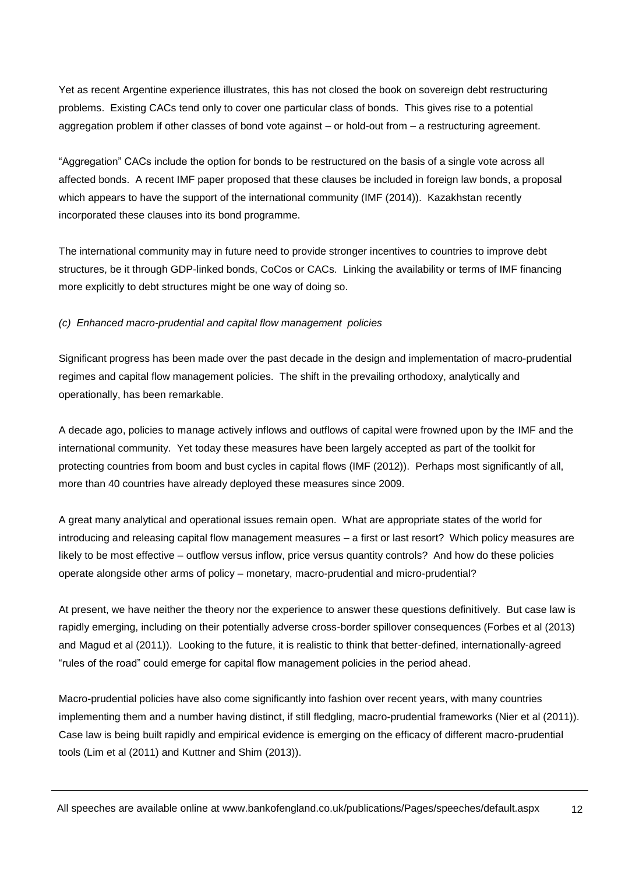Yet as recent Argentine experience illustrates, this has not closed the book on sovereign debt restructuring problems. Existing CACs tend only to cover one particular class of bonds. This gives rise to a potential aggregation problem if other classes of bond vote against – or hold-out from – a restructuring agreement.

"Aggregation" CACs include the option for bonds to be restructured on the basis of a single vote across all affected bonds. A recent IMF paper proposed that these clauses be included in foreign law bonds, a proposal which appears to have the support of the international community (IMF (2014)). Kazakhstan recently incorporated these clauses into its bond programme.

The international community may in future need to provide stronger incentives to countries to improve debt structures, be it through GDP-linked bonds, CoCos or CACs. Linking the availability or terms of IMF financing more explicitly to debt structures might be one way of doing so.

### *(c) Enhanced macro-prudential and capital flow management policies*

Significant progress has been made over the past decade in the design and implementation of macro-prudential regimes and capital flow management policies. The shift in the prevailing orthodoxy, analytically and operationally, has been remarkable.

A decade ago, policies to manage actively inflows and outflows of capital were frowned upon by the IMF and the international community. Yet today these measures have been largely accepted as part of the toolkit for protecting countries from boom and bust cycles in capital flows (IMF (2012)). Perhaps most significantly of all, more than 40 countries have already deployed these measures since 2009.

A great many analytical and operational issues remain open. What are appropriate states of the world for introducing and releasing capital flow management measures – a first or last resort? Which policy measures are likely to be most effective – outflow versus inflow, price versus quantity controls? And how do these policies operate alongside other arms of policy – monetary, macro-prudential and micro-prudential?

At present, we have neither the theory nor the experience to answer these questions definitively. But case law is rapidly emerging, including on their potentially adverse cross-border spillover consequences (Forbes et al (2013) and Magud et al (2011)). Looking to the future, it is realistic to think that better-defined, internationally-agreed "rules of the road" could emerge for capital flow management policies in the period ahead.

Macro-prudential policies have also come significantly into fashion over recent years, with many countries implementing them and a number having distinct, if still fledgling, macro-prudential frameworks (Nier et al (2011)). Case law is being built rapidly and empirical evidence is emerging on the efficacy of different macro-prudential tools (Lim et al (2011) and Kuttner and Shim (2013)).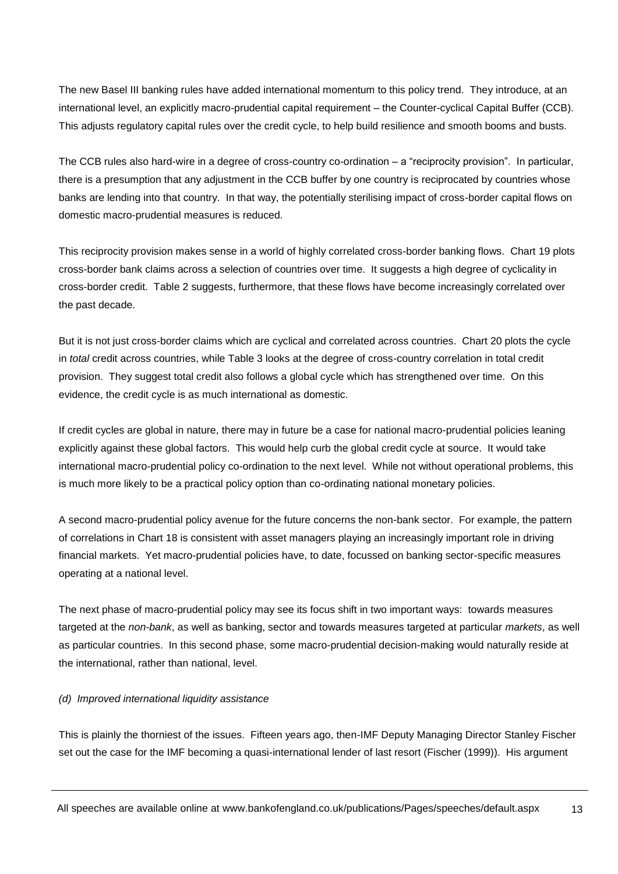The new Basel III banking rules have added international momentum to this policy trend. They introduce, at an international level, an explicitly macro-prudential capital requirement – the Counter-cyclical Capital Buffer (CCB). This adjusts regulatory capital rules over the credit cycle, to help build resilience and smooth booms and busts.

The CCB rules also hard-wire in a degree of cross-country co-ordination – a "reciprocity provision". In particular, there is a presumption that any adjustment in the CCB buffer by one country is reciprocated by countries whose banks are lending into that country. In that way, the potentially sterilising impact of cross-border capital flows on domestic macro-prudential measures is reduced.

This reciprocity provision makes sense in a world of highly correlated cross-border banking flows. Chart 19 plots cross-border bank claims across a selection of countries over time. It suggests a high degree of cyclicality in cross-border credit. Table 2 suggests, furthermore, that these flows have become increasingly correlated over the past decade.

But it is not just cross-border claims which are cyclical and correlated across countries. Chart 20 plots the cycle in *total* credit across countries, while Table 3 looks at the degree of cross-country correlation in total credit provision. They suggest total credit also follows a global cycle which has strengthened over time. On this evidence, the credit cycle is as much international as domestic.

If credit cycles are global in nature, there may in future be a case for national macro-prudential policies leaning explicitly against these global factors. This would help curb the global credit cycle at source. It would take international macro-prudential policy co-ordination to the next level. While not without operational problems, this is much more likely to be a practical policy option than co-ordinating national monetary policies.

A second macro-prudential policy avenue for the future concerns the non-bank sector. For example, the pattern of correlations in Chart 18 is consistent with asset managers playing an increasingly important role in driving financial markets. Yet macro-prudential policies have, to date, focussed on banking sector-specific measures operating at a national level.

The next phase of macro-prudential policy may see its focus shift in two important ways: towards measures targeted at the *non-bank*, as well as banking, sector and towards measures targeted at particular *markets*, as well as particular countries. In this second phase, some macro-prudential decision-making would naturally reside at the international, rather than national, level.

#### *(d) Improved international liquidity assistance*

This is plainly the thorniest of the issues. Fifteen years ago, then-IMF Deputy Managing Director Stanley Fischer set out the case for the IMF becoming a quasi-international lender of last resort (Fischer (1999)). His argument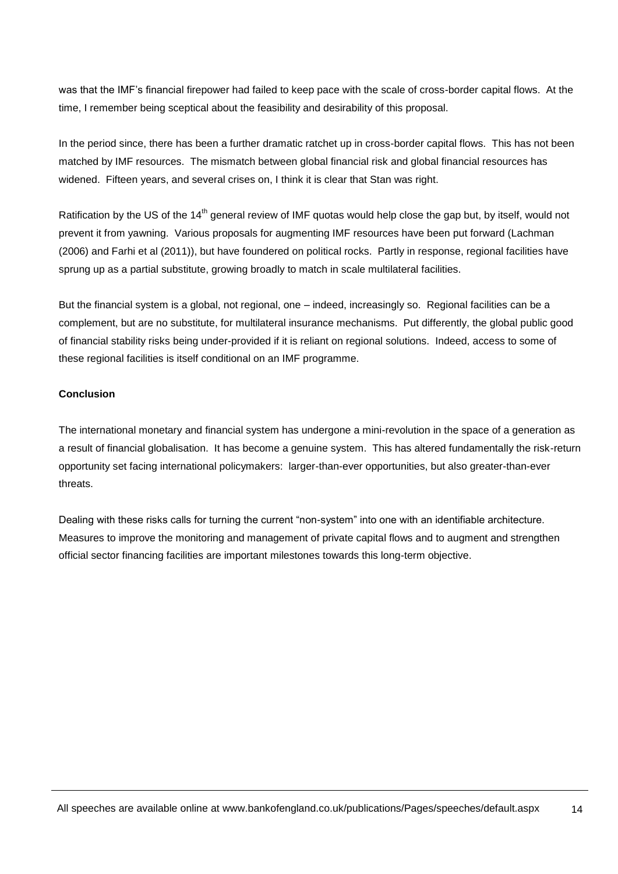was that the IMF's financial firepower had failed to keep pace with the scale of cross-border capital flows. At the time, I remember being sceptical about the feasibility and desirability of this proposal.

In the period since, there has been a further dramatic ratchet up in cross-border capital flows. This has not been matched by IMF resources. The mismatch between global financial risk and global financial resources has widened. Fifteen years, and several crises on, I think it is clear that Stan was right.

Ratification by the US of the 14<sup>th</sup> general review of IMF guotas would help close the gap but, by itself, would not prevent it from yawning. Various proposals for augmenting IMF resources have been put forward (Lachman (2006) and Farhi et al (2011)), but have foundered on political rocks. Partly in response, regional facilities have sprung up as a partial substitute, growing broadly to match in scale multilateral facilities.

But the financial system is a global, not regional, one – indeed, increasingly so. Regional facilities can be a complement, but are no substitute, for multilateral insurance mechanisms. Put differently, the global public good of financial stability risks being under-provided if it is reliant on regional solutions. Indeed, access to some of these regional facilities is itself conditional on an IMF programme.

#### **Conclusion**

The international monetary and financial system has undergone a mini-revolution in the space of a generation as a result of financial globalisation. It has become a genuine system. This has altered fundamentally the risk-return opportunity set facing international policymakers: larger-than-ever opportunities, but also greater-than-ever threats.

Dealing with these risks calls for turning the current "non-system" into one with an identifiable architecture. Measures to improve the monitoring and management of private capital flows and to augment and strengthen official sector financing facilities are important milestones towards this long-term objective.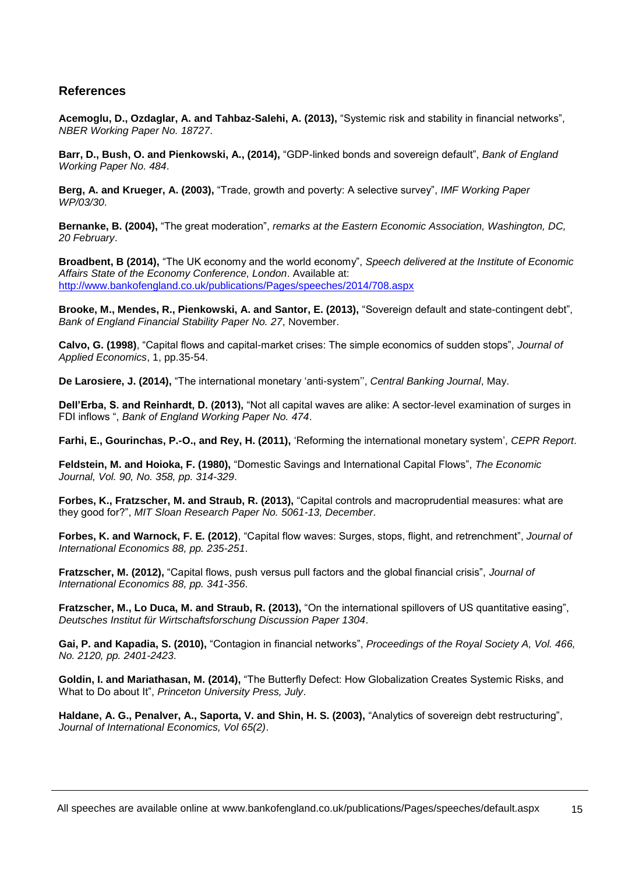### **References**

**Acemoglu, D., Ozdaglar, A. and Tahbaz-Salehi, A. (2013),** "Systemic risk and stability in financial networks", *NBER Working Paper No. 18727*.

**Barr, D., Bush, O. and Pienkowski, A., (2014),** "GDP-linked bonds and sovereign default", *Bank of England Working Paper No. 484*.

**Berg, A. and Krueger, A. (2003),** "Trade, growth and poverty: A selective survey", *IMF Working Paper WP/03/30*.

**Bernanke, B. (2004),** "The great moderation", *remarks at the Eastern Economic Association, Washington, DC, 20 February*.

**Broadbent, B (2014),** "The UK economy and the world economy", *Speech delivered at the Institute of Economic Affairs State of the Economy Conference, London*. Available at: <http://www.bankofengland.co.uk/publications/Pages/speeches/2014/708.aspx>

**Brooke, M., Mendes, R., Pienkowski, A. and Santor, E. (2013),** "Sovereign default and state-contingent debt", *Bank of England Financial Stability Paper No. 27*, November.

**Calvo, G. (1998)**, "Capital flows and capital-market crises: The simple economics of sudden stops", *Journal of Applied Economics*, 1, pp.35-54.

**De Larosiere, J. (2014),** "The international monetary 'anti-system'', *Central Banking Journal*, May.

**Dell'Erba, S. and Reinhardt, D. (2013),** "Not all capital waves are alike: A sector-level examination of surges in FDI inflows ", *Bank of England Working Paper No. 474*.

**Farhi, E., Gourinchas, P.-O., and Rey, H. (2011),** 'Reforming the international monetary system', *CEPR Report*.

**Feldstein, M. and Hoioka, F. (1980),** "Domestic Savings and International Capital Flows", *The Economic Journal, Vol. 90, No. 358, pp. 314-329*.

**Forbes, K., Fratzscher, M. and Straub, R. (2013),** "Capital controls and macroprudential measures: what are they good for?", *MIT Sloan Research Paper No. 5061-13, December*.

**Forbes, K. and Warnock, F. E. (2012)**, "Capital flow waves: Surges, stops, flight, and retrenchment", *Journal of International Economics 88, pp. 235-251*.

**Fratzscher, M. (2012),** "Capital flows, push versus pull factors and the global financial crisis", *Journal of International Economics 88, pp. 341-356*.

**Fratzscher, M., Lo Duca, M. and Straub, R. (2013),** "On the international spillovers of US quantitative easing", *Deutsches Institut für Wirtschaftsforschung Discussion Paper 1304*.

**Gai, P. and Kapadia, S. (2010),** "Contagion in financial networks", *Proceedings of the Royal Society A, Vol. 466, No. 2120, pp. 2401-2423*.

**Goldin, I. and Mariathasan, M. (2014),** "The Butterfly Defect: How Globalization Creates Systemic Risks, and What to Do about It", *Princeton University Press, July*.

**Haldane, A. G., Penalver, A., Saporta, V. and Shin, H. S. (2003),** "Analytics of sovereign debt restructuring", *Journal of International Economics, Vol 65(2)*.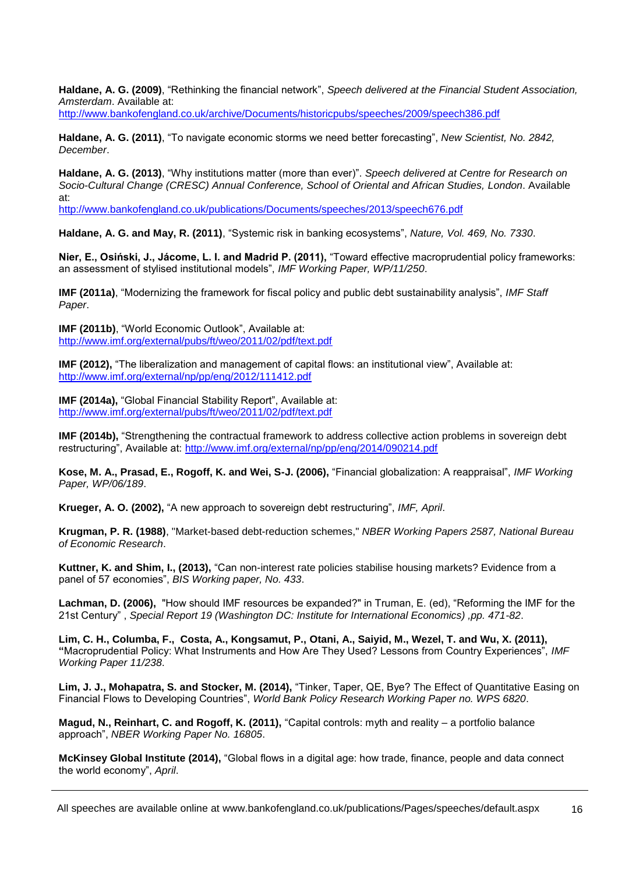**Haldane, A. G. (2009)**, "Rethinking the financial network", *Speech delivered at the Financial Student Association, Amsterdam*. Available at:

<http://www.bankofengland.co.uk/archive/Documents/historicpubs/speeches/2009/speech386.pdf>

**Haldane, A. G. (2011)**, "To navigate economic storms we need better forecasting", *New Scientist, No. 2842, December*.

**Haldane, A. G. (2013)**, "Why institutions matter (more than ever)". *Speech delivered at Centre for Research on Socio-Cultural Change (CRESC) Annual Conference, School of Oriental and African Studies, London*. Available at:

<http://www.bankofengland.co.uk/publications/Documents/speeches/2013/speech676.pdf>

**Haldane, A. G. and May, R. (2011)**, "Systemic risk in banking ecosystems", *Nature, Vol. 469, No. 7330*.

**Nier, E., Osiński, J., Jácome, L. I. and Madrid P. (2011),** "Toward effective macroprudential policy frameworks: an assessment of stylised institutional models", *IMF Working Paper, WP/11/250*.

**IMF (2011a)**, "Modernizing the framework for fiscal policy and public debt sustainability analysis", *IMF Staff Paper*.

**IMF (2011b)**, "World Economic Outlook", Available at: <http://www.imf.org/external/pubs/ft/weo/2011/02/pdf/text.pdf>

**IMF (2012),** "The liberalization and management of capital flows: an institutional view", Available at: <http://www.imf.org/external/np/pp/eng/2012/111412.pdf>

**IMF (2014a), "Global Financial Stability Report", Available at:** <http://www.imf.org/external/pubs/ft/weo/2011/02/pdf/text.pdf>

**IMF (2014b),** "Strengthening the contractual framework to address collective action problems in sovereign debt restructuring", Available at:<http://www.imf.org/external/np/pp/eng/2014/090214.pdf>

**Kose, M. A., Prasad, E., Rogoff, K. and Wei, S-J. (2006),** "Financial globalization: A reappraisal", *IMF Working Paper, WP/06/189*.

**Krueger, A. O. (2002),** "A new approach to sovereign debt restructuring", *IMF, April*.

**Krugman, P. R. (1988)**, "Market-based debt-reduction schemes," *NBER Working Papers 2587, National Bureau of Economic Research*.

**Kuttner, K. and Shim, I., (2013),** "Can non-interest rate policies stabilise housing markets? Evidence from a panel of 57 economies", *BIS Working paper, No. 433*.

**Lachman, D. (2006),** "How should IMF resources be expanded?" in Truman, E. (ed), "Reforming the IMF for the 21st Century" , *Special Report 19 (Washington DC: Institute for International Economics) ,pp. 471-82*.

**Lim, C. H., Columba, F., Costa, A., Kongsamut, P., Otani, A., Saiyid, M., Wezel, T. and Wu, X. (2011), "**Macroprudential Policy: What Instruments and How Are They Used? Lessons from Country Experiences", *IMF Working Paper 11/238*.

**Lim, J. J., Mohapatra, S. and Stocker, M. (2014),** "Tinker, Taper, QE, Bye? The Effect of Quantitative Easing on Financial Flows to Developing Countries", *World Bank Policy Research Working Paper no. WPS 6820*.

**Magud, N., Reinhart, C. and Rogoff, K. (2011),** "Capital controls: myth and reality – a portfolio balance approach", *NBER Working Paper No. 16805*.

**McKinsey Global Institute (2014),** "Global flows in a digital age: how trade, finance, people and data connect the world economy", *April*.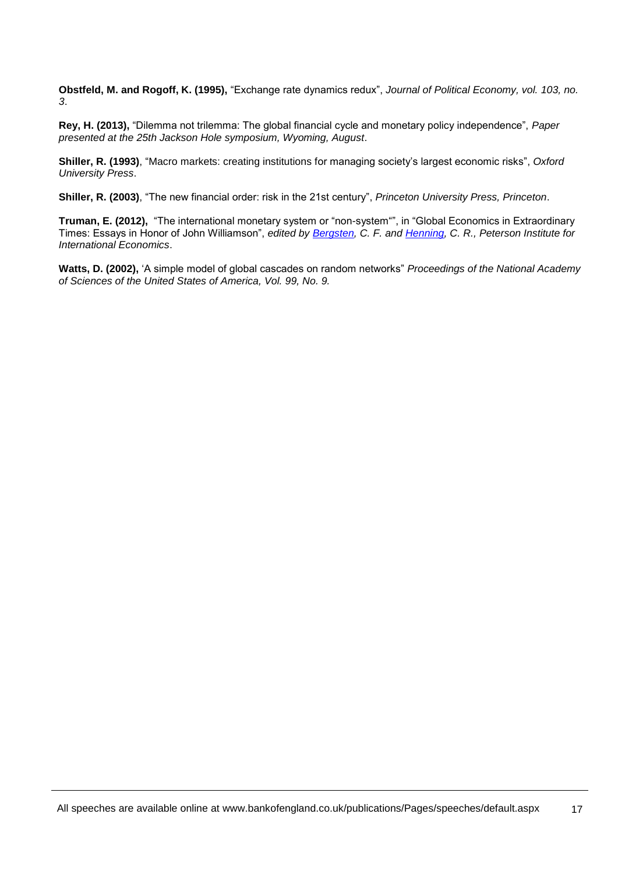**Obstfeld, M. and Rogoff, K. (1995),** "Exchange rate dynamics redux", *Journal of Political Economy, vol. 103, no. 3*.

**Rey, H. (2013),** "Dilemma not trilemma: The global financial cycle and monetary policy independence", *Paper presented at the 25th Jackson Hole symposium, Wyoming, August*.

**Shiller, R. (1993)**, "Macro markets: creating institutions for managing society's largest economic risks", *Oxford University Press*.

**Shiller, R. (2003)**, "The new financial order: risk in the 21st century", *Princeton University Press, Princeton*.

**Truman, E. (2012),** "The international monetary system or "non-system"", in "Global Economics in Extraordinary Times: Essays in Honor of John Williamson", *edited by [Bergsten,](http://www.piie.com/staff/author_bio.cfm?author_id=33) C. F. and [Henning,](http://www.piie.com/staff/author_bio.cfm?author_id=12) C. R., Peterson Institute for International Economics*.

**Watts, D. (2002),** 'A simple model of global cascades on random networks" *Proceedings of the National Academy of Sciences of the United States of America, Vol. 99, No. 9.*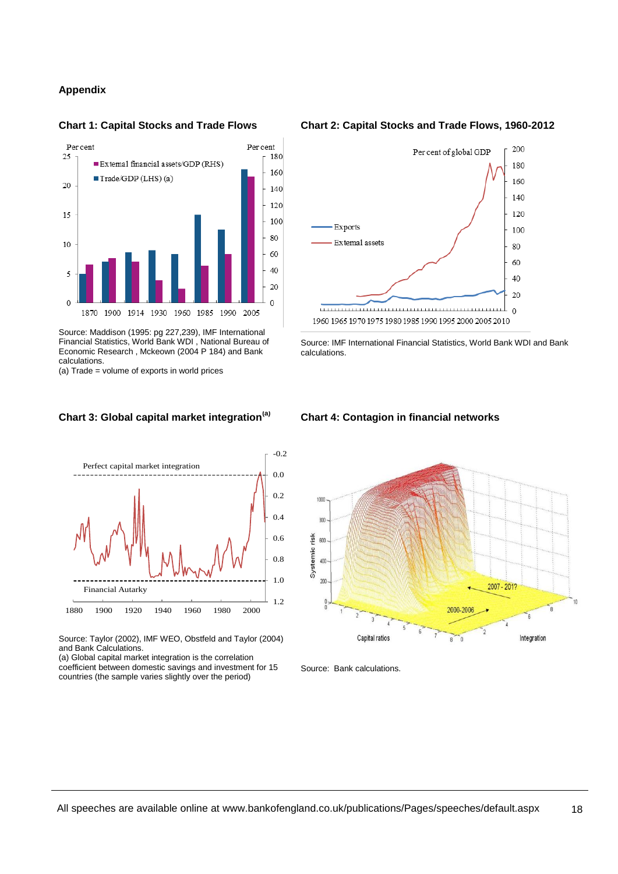#### **Appendix**



Source: Maddison (1995: pg 227,239), IMF International Financial Statistics, World Bank WDI , National Bureau of Economic Research , Mckeown (2004 P 184) and Bank calculations.

(a) Trade = volume of exports in world prices

#### **Chart 3: Global capital market integration(a)**



Source: Taylor (2002), IMF WEO, Obstfeld and Taylor (2004) and Bank Calculations.

(a) Global capital market integration is the correlation coefficient between domestic savings and investment for 15 countries (the sample varies slightly over the period)

#### **Chart 1: Capital Stocks and Trade Flows Chart 2: Capital Stocks and Trade Flows, 1960-2012**



Source: IMF International Financial Statistics, World Bank WDI and Bank calculations.

#### **Chart 4: Contagion in financial networks**



Source: Bank calculations.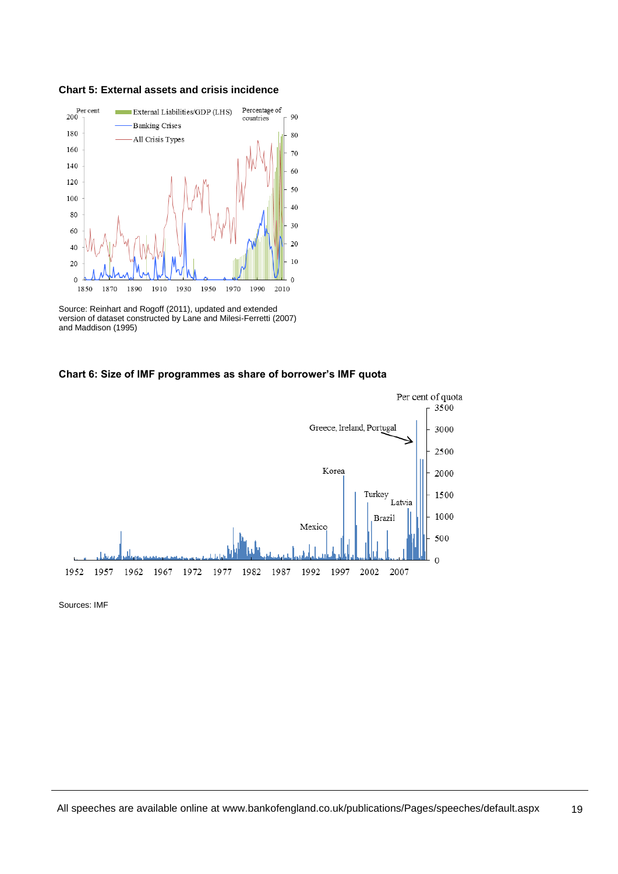



Source: Reinhart and Rogoff (2011), updated and extended version of dataset constructed by Lane and Milesi-Ferretti (2007) and Maddison (1995)

#### **Chart 6: Size of IMF programmes as share of borrower's IMF quota**



Sources: IMF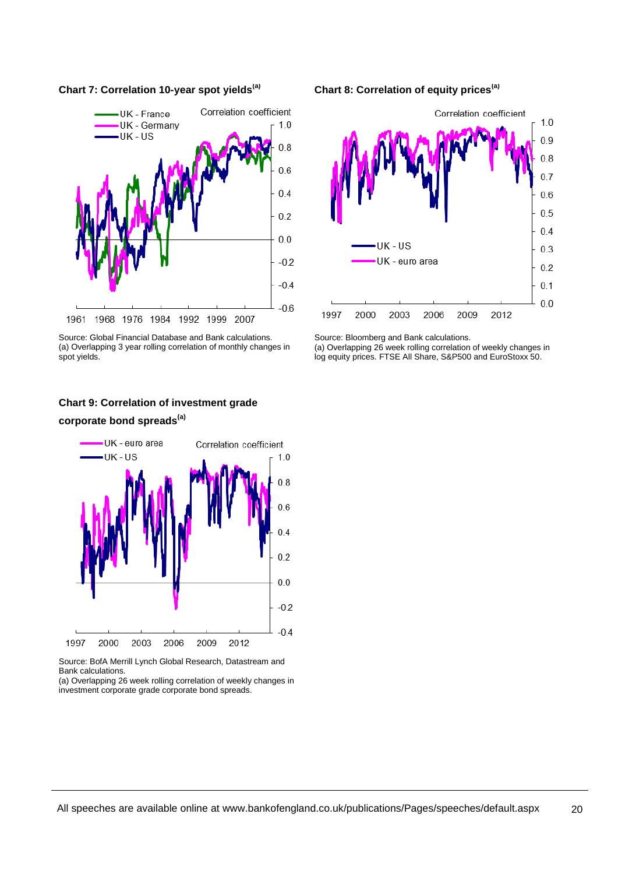



Source: Global Financial Database and Bank calculations. (a) Overlapping 3 year rolling correlation of monthly changes in spot yields.

#### **Chart 8: Correlation of equity prices(a)**

![](_page_19_Figure_4.jpeg)

Source: Bloomberg and Bank calculations.

(a) Overlapping 26 week rolling correlation of weekly changes in log equity prices. FTSE All Share, S&P500 and EuroStoxx 50.

## **Chart 9: Correlation of investment grade corporate bond spreads(a)**

![](_page_19_Figure_8.jpeg)

Source: BofA Merrill Lynch Global Research, Datastream and Bank calculations.

(a) Overlapping 26 week rolling correlation of weekly changes in investment corporate grade corporate bond spreads.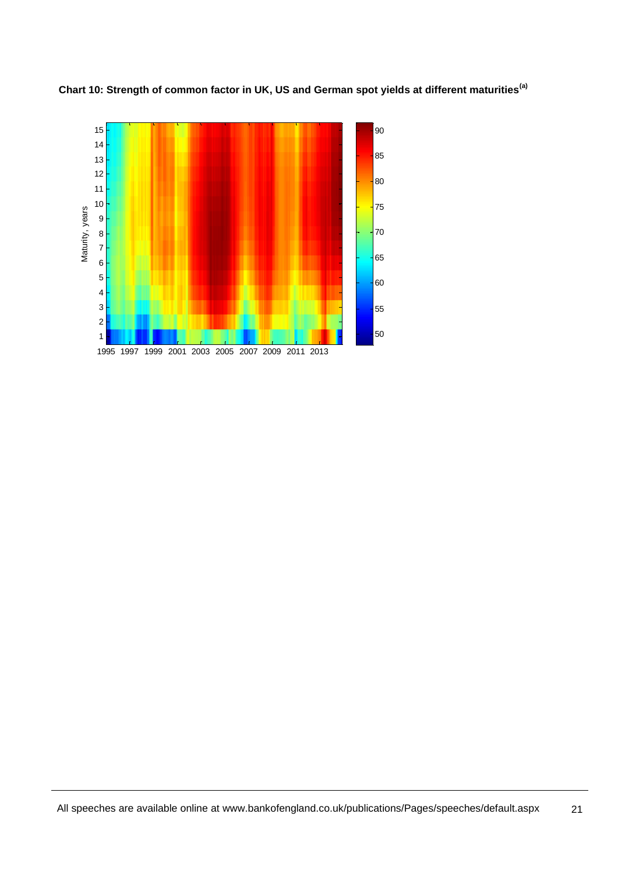![](_page_20_Figure_0.jpeg)

**Chart 10: Strength of common factor in UK, US and German spot yields at different maturities(a)**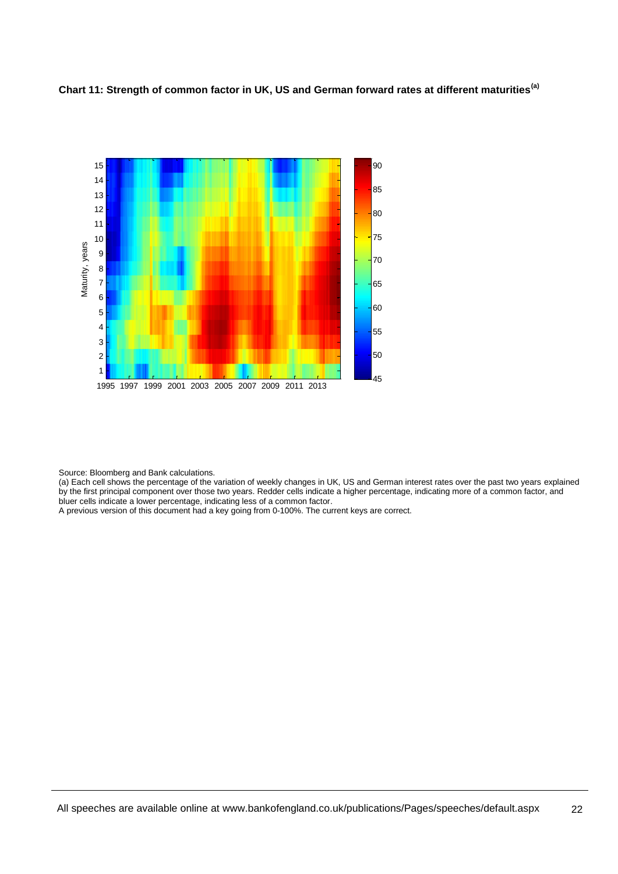![](_page_21_Figure_0.jpeg)

**Chart 11: Strength of common factor in UK, US and German forward rates at different maturities(a)**

Source: Bloomberg and Bank calculations.

(a) Each cell shows the percentage of the variation of weekly changes in UK, US and German interest rates over the past two years explained by the first principal component over those two years. Redder cells indicate a higher percentage, indicating more of a common factor, and bluer cells indicate a lower percentage, indicating less of a common factor.

A previous version of this document had a key going from 0-100%. The current keys are correct.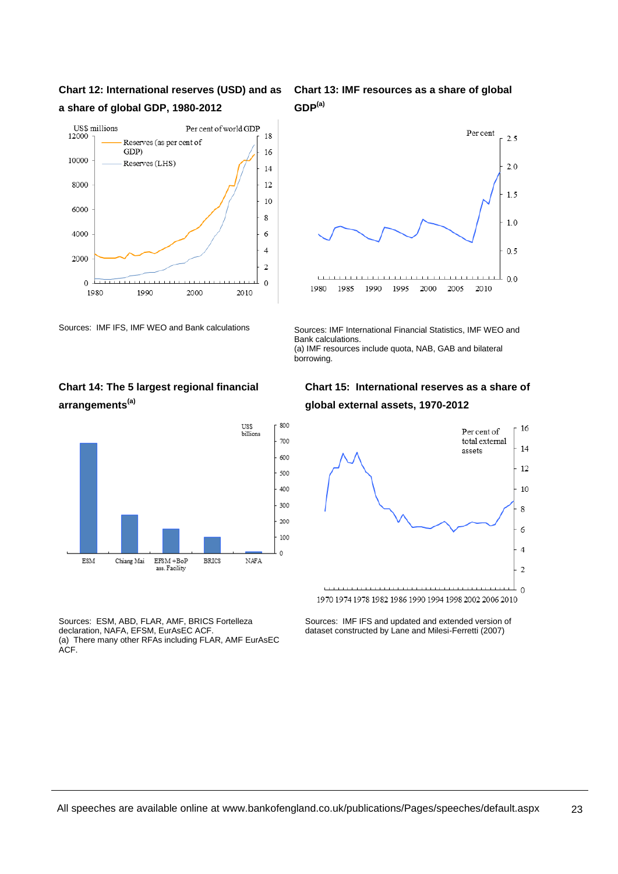## **Chart 12: International reserves (USD) and as a share of global GDP, 1980-2012**

![](_page_22_Figure_1.jpeg)

Sources: IMF IFS, IMF WEO and Bank calculations Sources: IMF International Financial Statistics, IMF WEO and

## **Chart 14: The 5 largest regional financial arrangements(a)**

![](_page_22_Figure_4.jpeg)

Sources: ESM, ABD, FLAR, AMF, BRICS Fortelleza declaration, NAFA, EFSM, EurAsEC ACF. (a) There many other RFAs including FLAR, AMF EurAsEC ACF.

**Chart 13: IMF resources as a share of global GDP(a)**

![](_page_22_Figure_7.jpeg)

Bank calculations. (a) IMF resources include quota, NAB, GAB and bilateral borrowing.

## **Chart 15: International reserves as a share of global external assets, 1970-2012**

![](_page_22_Figure_10.jpeg)

Sources: IMF IFS and updated and extended version of dataset constructed by Lane and Milesi-Ferretti (2007)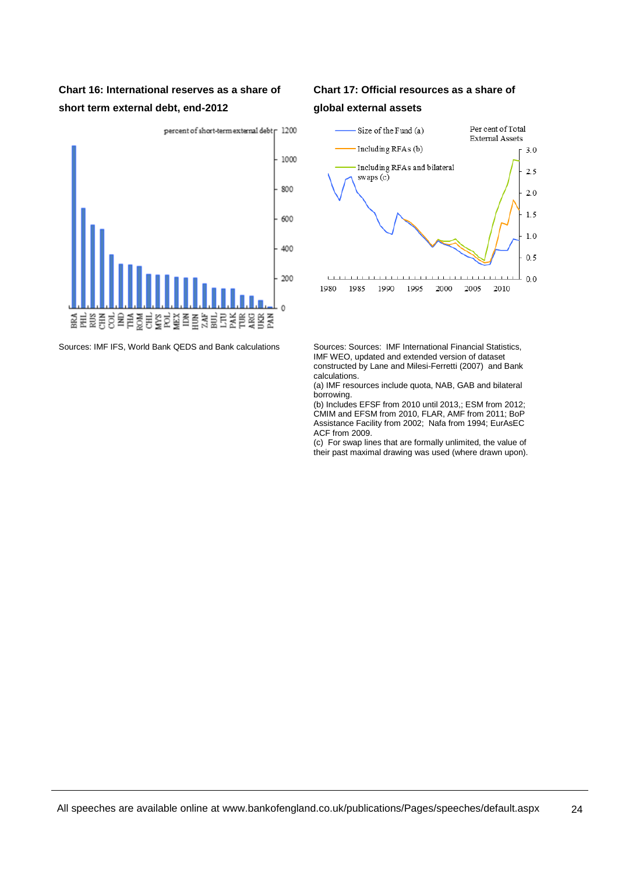## **Chart 16: International reserves as a share of short term external debt, end-2012**

![](_page_23_Figure_1.jpeg)

Sources: IMF IFS, World Bank QEDS and Bank calculations Sources: Sources: IMF International Financial Statistics,

## **Chart 17: Official resources as a share of global external assets**

![](_page_23_Figure_4.jpeg)

IMF WEO, updated and extended version of dataset constructed by Lane and Milesi-Ferretti (2007) and Bank calculations.

(a) IMF resources include quota, NAB, GAB and bilateral borrowing.

(b) Includes EFSF from 2010 until 2013,; ESM from 2012; CMIM and EFSM from 2010, FLAR, AMF from 2011; BoP Assistance Facility from 2002; Nafa from 1994; EurAsEC ACF from 2009.

(c) For swap lines that are formally unlimited, the value of their past maximal drawing was used (where drawn upon).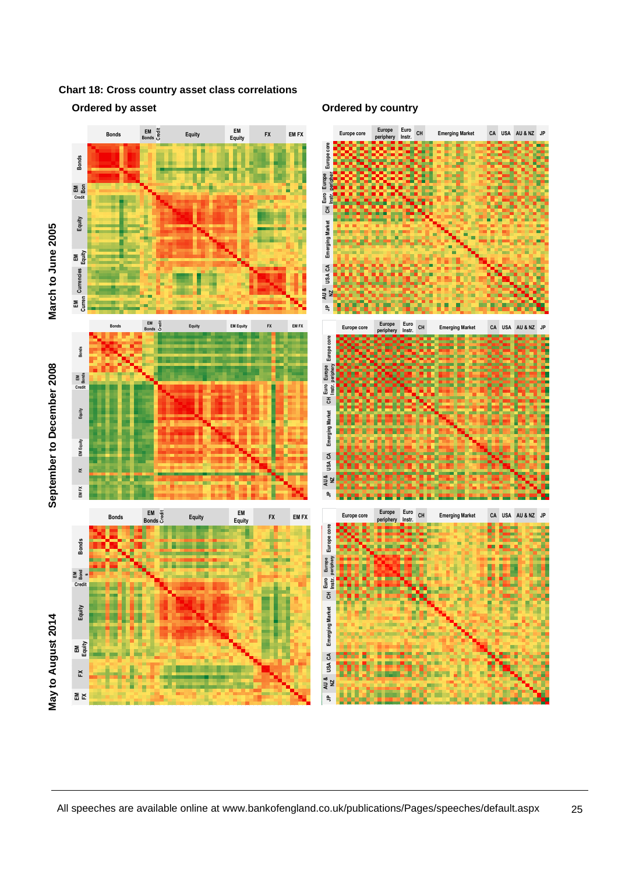**Chart 18: Cross country asset class correlations** 

#### **Ordered by asset Ordered by country**

![](_page_24_Figure_3.jpeg)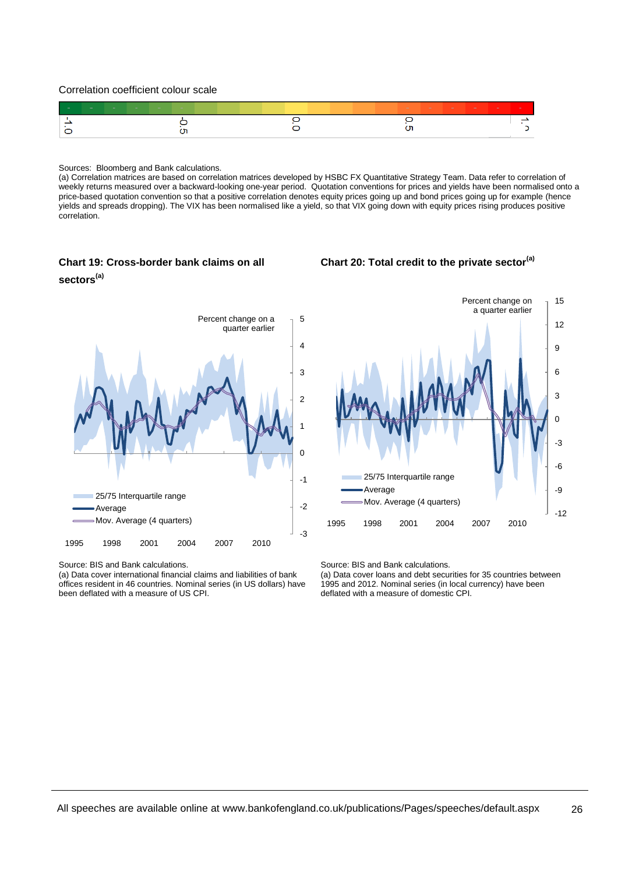Correlation coefficient colour scale

![](_page_25_Figure_1.jpeg)

#### Sources: Bloomberg and Bank calculations.

(a) Correlation matrices are based on correlation matrices developed by HSBC FX Quantitative Strategy Team. Data refer to correlation of weekly returns measured over a backward-looking one-year period. Quotation conventions for prices and yields have been normalised onto a price-based quotation convention so that a positive correlation denotes equity prices going up and bond prices going up for example (hence yields and spreads dropping). The VIX has been normalised like a yield, so that VIX going down with equity prices rising produces positive correlation.

## **Chart 19: Cross-border bank claims on all sectors(a)**

![](_page_25_Figure_5.jpeg)

![](_page_25_Figure_6.jpeg)

Source: BIS and Bank calculations.

(a) Data cover international financial claims and liabilities of bank offices resident in 46 countries. Nominal series (in US dollars) have been deflated with a measure of US CPI.

![](_page_25_Figure_9.jpeg)

Source: BIS and Bank calculations.

(a) Data cover loans and debt securities for 35 countries between 1995 and 2012. Nominal series (in local currency) have been deflated with a measure of domestic CPI.